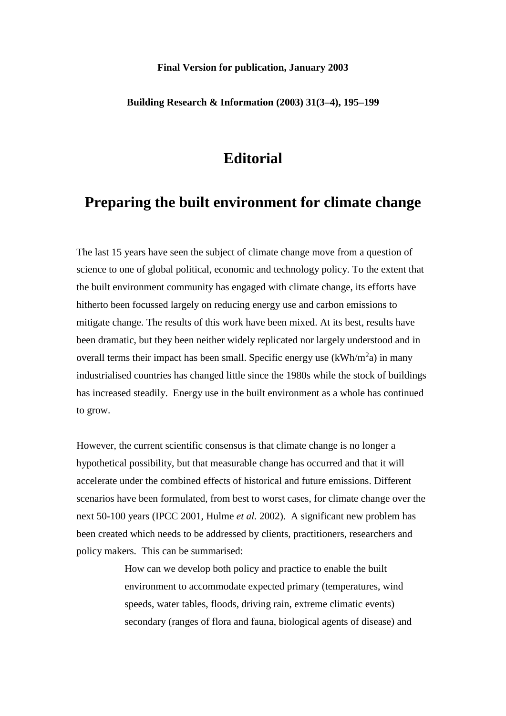### **Final Version for publication, January 2003**

### **Building Research & Information (2003) 31(3–4), 195–199**

## **Editorial**

# **Preparing the built environment for climate change**

The last 15 years have seen the subject of climate change move from a question of science to one of global political, economic and technology policy. To the extent that the built environment community has engaged with climate change, its efforts have hitherto been focussed largely on reducing energy use and carbon emissions to mitigate change. The results of this work have been mixed. At its best, results have been dramatic, but they been neither widely replicated nor largely understood and in overall terms their impact has been small. Specific energy use  $(kWh/m<sup>2</sup>a)$  in many industrialised countries has changed little since the 1980s while the stock of buildings has increased steadily. Energy use in the built environment as a whole has continued to grow.

However, the current scientific consensus is that climate change is no longer a hypothetical possibility, but that measurable change has occurred and that it will accelerate under the combined effects of historical and future emissions. Different scenarios have been formulated, from best to worst cases, for climate change over the next 50-100 years (IPCC 2001, Hulme *et al.* 2002). A significant new problem has been created which needs to be addressed by clients, practitioners, researchers and policy makers. This can be summarised:

> How can we develop both policy and practice to enable the built environment to accommodate expected primary (temperatures, wind speeds, water tables, floods, driving rain, extreme climatic events) secondary (ranges of flora and fauna, biological agents of disease) and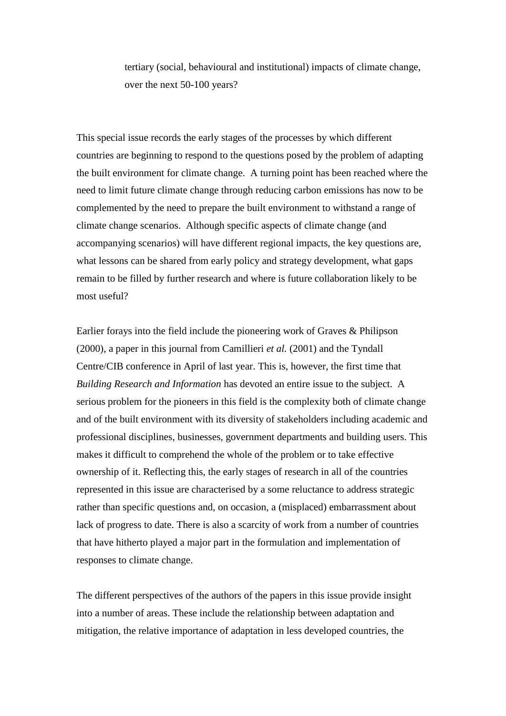tertiary (social, behavioural and institutional) impacts of climate change, over the next 50-100 years?

This special issue records the early stages of the processes by which different countries are beginning to respond to the questions posed by the problem of adapting the built environment for climate change. A turning point has been reached where the need to limit future climate change through reducing carbon emissions has now to be complemented by the need to prepare the built environment to withstand a range of climate change scenarios. Although specific aspects of climate change (and accompanying scenarios) will have different regional impacts, the key questions are, what lessons can be shared from early policy and strategy development, what gaps remain to be filled by further research and where is future collaboration likely to be most useful?

Earlier forays into the field include the pioneering work of Graves & Philipson (2000), a paper in this journal from Camillieri *et al.* (2001) and the Tyndall Centre/CIB conference in April of last year. This is, however, the first time that *Building Research and Information* has devoted an entire issue to the subject. A serious problem for the pioneers in this field is the complexity both of climate change and of the built environment with its diversity of stakeholders including academic and professional disciplines, businesses, government departments and building users. This makes it difficult to comprehend the whole of the problem or to take effective ownership of it. Reflecting this, the early stages of research in all of the countries represented in this issue are characterised by a some reluctance to address strategic rather than specific questions and, on occasion, a (misplaced) embarrassment about lack of progress to date. There is also a scarcity of work from a number of countries that have hitherto played a major part in the formulation and implementation of responses to climate change.

The different perspectives of the authors of the papers in this issue provide insight into a number of areas. These include the relationship between adaptation and mitigation, the relative importance of adaptation in less developed countries, the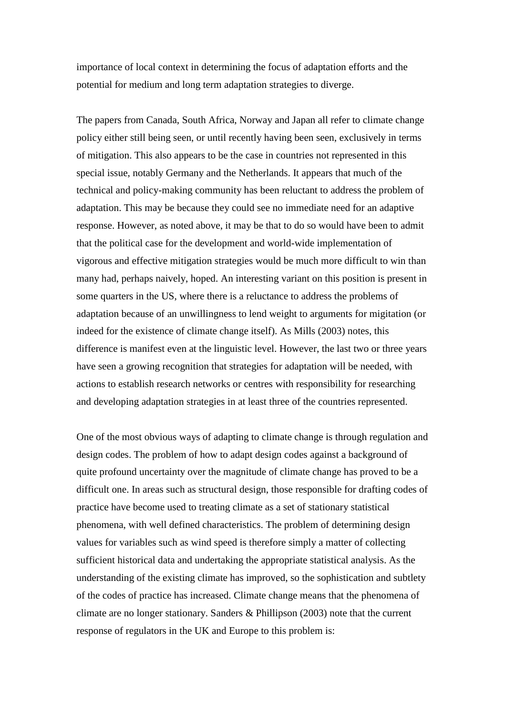importance of local context in determining the focus of adaptation efforts and the potential for medium and long term adaptation strategies to diverge.

The papers from Canada, South Africa, Norway and Japan all refer to climate change policy either still being seen, or until recently having been seen, exclusively in terms of mitigation. This also appears to be the case in countries not represented in this special issue, notably Germany and the Netherlands. It appears that much of the technical and policy-making community has been reluctant to address the problem of adaptation. This may be because they could see no immediate need for an adaptive response. However, as noted above, it may be that to do so would have been to admit that the political case for the development and world-wide implementation of vigorous and effective mitigation strategies would be much more difficult to win than many had, perhaps naively, hoped. An interesting variant on this position is present in some quarters in the US, where there is a reluctance to address the problems of adaptation because of an unwillingness to lend weight to arguments for migitation (or indeed for the existence of climate change itself). As Mills (2003) notes, this difference is manifest even at the linguistic level. However, the last two or three years have seen a growing recognition that strategies for adaptation will be needed, with actions to establish research networks or centres with responsibility for researching and developing adaptation strategies in at least three of the countries represented.

One of the most obvious ways of adapting to climate change is through regulation and design codes. The problem of how to adapt design codes against a background of quite profound uncertainty over the magnitude of climate change has proved to be a difficult one. In areas such as structural design, those responsible for drafting codes of practice have become used to treating climate as a set of stationary statistical phenomena, with well defined characteristics. The problem of determining design values for variables such as wind speed is therefore simply a matter of collecting sufficient historical data and undertaking the appropriate statistical analysis. As the understanding of the existing climate has improved, so the sophistication and subtlety of the codes of practice has increased. Climate change means that the phenomena of climate are no longer stationary. Sanders & Phillipson (2003) note that the current response of regulators in the UK and Europe to this problem is: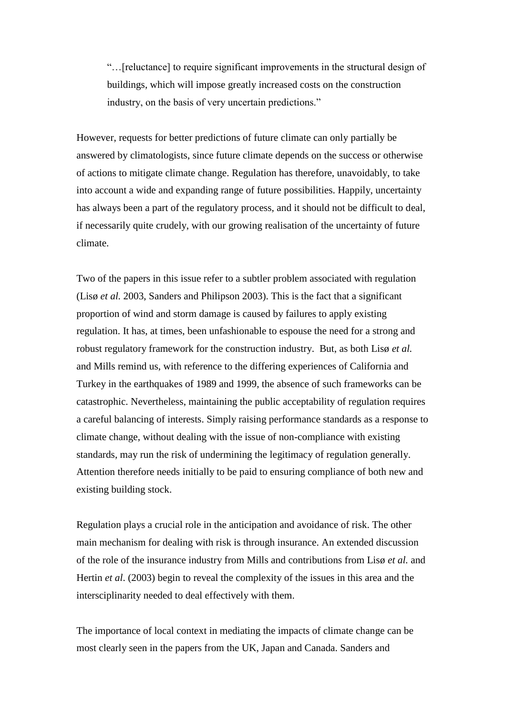"…[reluctance] to require significant improvements in the structural design of buildings, which will impose greatly increased costs on the construction industry, on the basis of very uncertain predictions."

However, requests for better predictions of future climate can only partially be answered by climatologists, since future climate depends on the success or otherwise of actions to mitigate climate change. Regulation has therefore, unavoidably, to take into account a wide and expanding range of future possibilities. Happily, uncertainty has always been a part of the regulatory process, and it should not be difficult to deal, if necessarily quite crudely, with our growing realisation of the uncertainty of future climate.

Two of the papers in this issue refer to a subtler problem associated with regulation (Lisø *et al.* 2003, Sanders and Philipson 2003). This is the fact that a significant proportion of wind and storm damage is caused by failures to apply existing regulation. It has, at times, been unfashionable to espouse the need for a strong and robust regulatory framework for the construction industry. But, as both Lisø *et al.* and Mills remind us, with reference to the differing experiences of California and Turkey in the earthquakes of 1989 and 1999, the absence of such frameworks can be catastrophic. Nevertheless, maintaining the public acceptability of regulation requires a careful balancing of interests. Simply raising performance standards as a response to climate change, without dealing with the issue of non-compliance with existing standards, may run the risk of undermining the legitimacy of regulation generally. Attention therefore needs initially to be paid to ensuring compliance of both new and existing building stock.

Regulation plays a crucial role in the anticipation and avoidance of risk. The other main mechanism for dealing with risk is through insurance. An extended discussion of the role of the insurance industry from Mills and contributions from Lisø *et al.* and Hertin *et al*. (2003) begin to reveal the complexity of the issues in this area and the intersciplinarity needed to deal effectively with them.

The importance of local context in mediating the impacts of climate change can be most clearly seen in the papers from the UK, Japan and Canada. Sanders and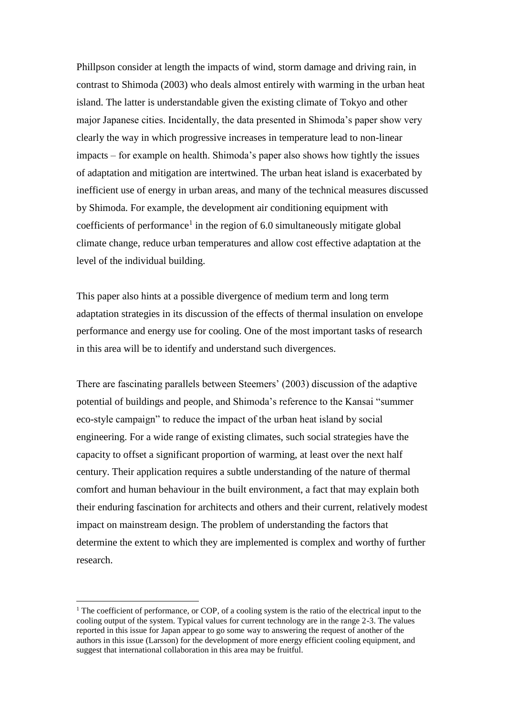Phillpson consider at length the impacts of wind, storm damage and driving rain, in contrast to Shimoda (2003) who deals almost entirely with warming in the urban heat island. The latter is understandable given the existing climate of Tokyo and other major Japanese cities. Incidentally, the data presented in Shimoda's paper show very clearly the way in which progressive increases in temperature lead to non-linear impacts – for example on health. Shimoda's paper also shows how tightly the issues of adaptation and mitigation are intertwined. The urban heat island is exacerbated by inefficient use of energy in urban areas, and many of the technical measures discussed by Shimoda. For example, the development air conditioning equipment with coefficients of performance<sup>1</sup> in the region of 6.0 simultaneously mitigate global climate change, reduce urban temperatures and allow cost effective adaptation at the level of the individual building.

This paper also hints at a possible divergence of medium term and long term adaptation strategies in its discussion of the effects of thermal insulation on envelope performance and energy use for cooling. One of the most important tasks of research in this area will be to identify and understand such divergences.

There are fascinating parallels between Steemers' (2003) discussion of the adaptive potential of buildings and people, and Shimoda's reference to the Kansai "summer eco-style campaign" to reduce the impact of the urban heat island by social engineering. For a wide range of existing climates, such social strategies have the capacity to offset a significant proportion of warming, at least over the next half century. Their application requires a subtle understanding of the nature of thermal comfort and human behaviour in the built environment, a fact that may explain both their enduring fascination for architects and others and their current, relatively modest impact on mainstream design. The problem of understanding the factors that determine the extent to which they are implemented is complex and worthy of further research.

1

 $1$  The coefficient of performance, or COP, of a cooling system is the ratio of the electrical input to the cooling output of the system. Typical values for current technology are in the range 2-3. The values reported in this issue for Japan appear to go some way to answering the request of another of the authors in this issue (Larsson) for the development of more energy efficient cooling equipment, and suggest that international collaboration in this area may be fruitful.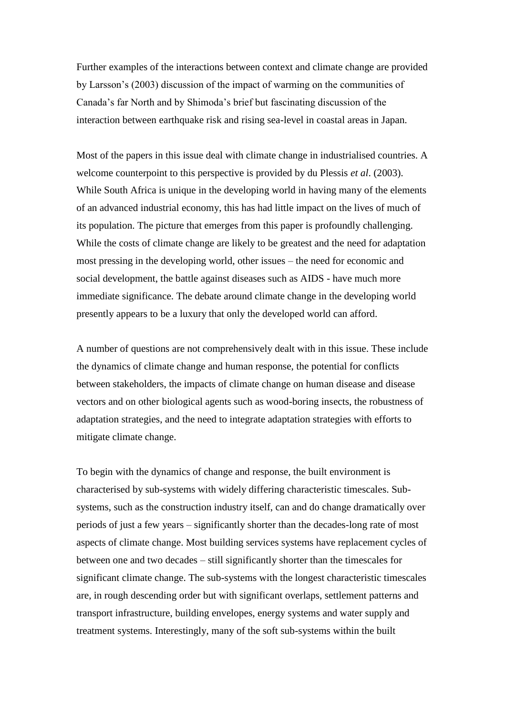Further examples of the interactions between context and climate change are provided by Larsson's (2003) discussion of the impact of warming on the communities of Canada's far North and by Shimoda's brief but fascinating discussion of the interaction between earthquake risk and rising sea-level in coastal areas in Japan.

Most of the papers in this issue deal with climate change in industrialised countries. A welcome counterpoint to this perspective is provided by du Plessis *et al*. (2003). While South Africa is unique in the developing world in having many of the elements of an advanced industrial economy, this has had little impact on the lives of much of its population. The picture that emerges from this paper is profoundly challenging. While the costs of climate change are likely to be greatest and the need for adaptation most pressing in the developing world, other issues – the need for economic and social development, the battle against diseases such as AIDS - have much more immediate significance. The debate around climate change in the developing world presently appears to be a luxury that only the developed world can afford.

A number of questions are not comprehensively dealt with in this issue. These include the dynamics of climate change and human response, the potential for conflicts between stakeholders, the impacts of climate change on human disease and disease vectors and on other biological agents such as wood-boring insects, the robustness of adaptation strategies, and the need to integrate adaptation strategies with efforts to mitigate climate change.

To begin with the dynamics of change and response, the built environment is characterised by sub-systems with widely differing characteristic timescales. Subsystems, such as the construction industry itself, can and do change dramatically over periods of just a few years – significantly shorter than the decades-long rate of most aspects of climate change. Most building services systems have replacement cycles of between one and two decades – still significantly shorter than the timescales for significant climate change. The sub-systems with the longest characteristic timescales are, in rough descending order but with significant overlaps, settlement patterns and transport infrastructure, building envelopes, energy systems and water supply and treatment systems. Interestingly, many of the soft sub-systems within the built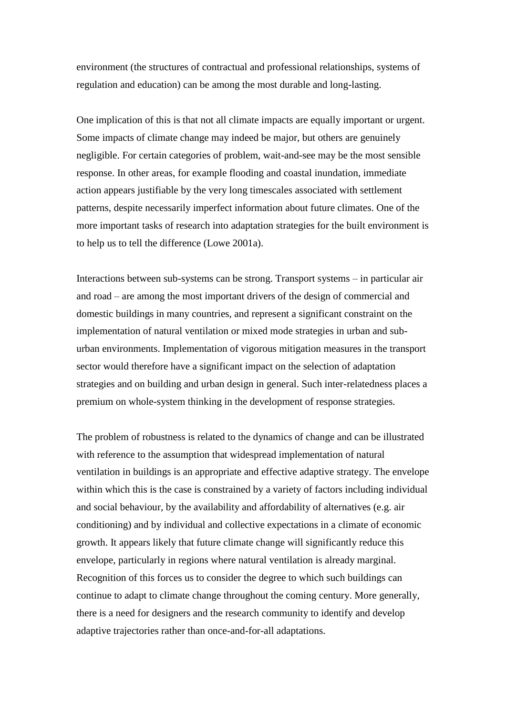environment (the structures of contractual and professional relationships, systems of regulation and education) can be among the most durable and long-lasting.

One implication of this is that not all climate impacts are equally important or urgent. Some impacts of climate change may indeed be major, but others are genuinely negligible. For certain categories of problem, wait-and-see may be the most sensible response. In other areas, for example flooding and coastal inundation, immediate action appears justifiable by the very long timescales associated with settlement patterns, despite necessarily imperfect information about future climates. One of the more important tasks of research into adaptation strategies for the built environment is to help us to tell the difference (Lowe 2001a).

Interactions between sub-systems can be strong. Transport systems – in particular air and road – are among the most important drivers of the design of commercial and domestic buildings in many countries, and represent a significant constraint on the implementation of natural ventilation or mixed mode strategies in urban and suburban environments. Implementation of vigorous mitigation measures in the transport sector would therefore have a significant impact on the selection of adaptation strategies and on building and urban design in general. Such inter-relatedness places a premium on whole-system thinking in the development of response strategies.

The problem of robustness is related to the dynamics of change and can be illustrated with reference to the assumption that widespread implementation of natural ventilation in buildings is an appropriate and effective adaptive strategy. The envelope within which this is the case is constrained by a variety of factors including individual and social behaviour, by the availability and affordability of alternatives (e.g. air conditioning) and by individual and collective expectations in a climate of economic growth. It appears likely that future climate change will significantly reduce this envelope, particularly in regions where natural ventilation is already marginal. Recognition of this forces us to consider the degree to which such buildings can continue to adapt to climate change throughout the coming century. More generally, there is a need for designers and the research community to identify and develop adaptive trajectories rather than once-and-for-all adaptations.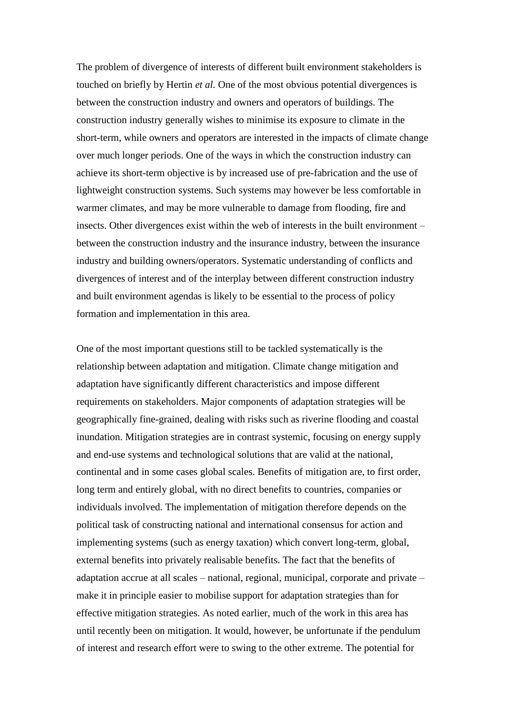The problem of divergence of interests of different built environment stakeholders is touched on briefly by Hertin *et al.* One of the most obvious potential divergences is between the construction industry and owners and operators of buildings. The construction industry generally wishes to minimise its exposure to climate in the short-term, while owners and operators are interested in the impacts of climate change over much longer periods. One of the ways in which the construction industry can achieve its short-term objective is by increased use of pre-fabrication and the use of lightweight construction systems. Such systems may however be less comfortable in warmer climates, and may be more vulnerable to damage from flooding, fire and insects. Other divergences exist within the web of interests in the built environment – between the construction industry and the insurance industry, between the insurance industry and building owners/operators. Systematic understanding of conflicts and divergences of interest and of the interplay between different construction industry and built environment agendas is likely to be essential to the process of policy formation and implementation in this area.

One of the most important questions still to be tackled systematically is the relationship between adaptation and mitigation. Climate change mitigation and adaptation have significantly different characteristics and impose different requirements on stakeholders. Major components of adaptation strategies will be geographically fine-grained, dealing with risks such as riverine flooding and coastal inundation. Mitigation strategies are in contrast systemic, focusing on energy supply and end-use systems and technological solutions that are valid at the national, continental and in some cases global scales. Benefits of mitigation are, to first order, long term and entirely global, with no direct benefits to countries, companies or individuals involved. The implementation of mitigation therefore depends on the political task of constructing national and international consensus for action and implementing systems (such as energy taxation) which convert long-term, global, external benefits into privately realisable benefits. The fact that the benefits of adaptation accrue at all scales – national, regional, municipal, corporate and private – make it in principle easier to mobilise support for adaptation strategies than for effective mitigation strategies. As noted earlier, much of the work in this area has until recently been on mitigation. It would, however, be unfortunate if the pendulum of interest and research effort were to swing to the other extreme. The potential for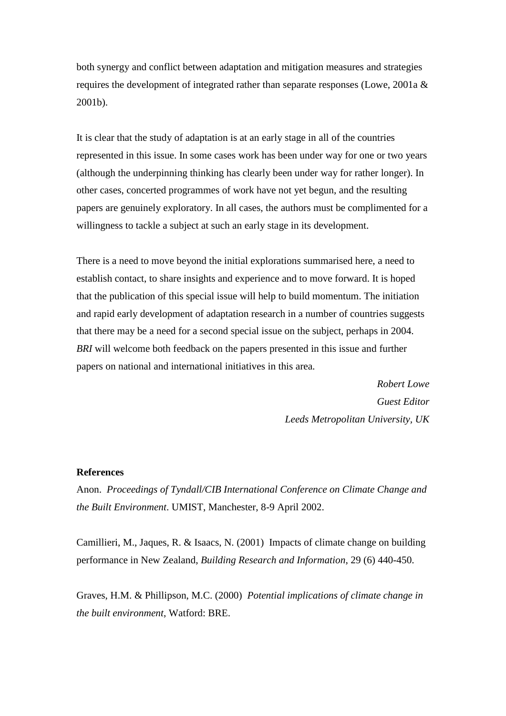both synergy and conflict between adaptation and mitigation measures and strategies requires the development of integrated rather than separate responses (Lowe, 2001a & 2001b).

It is clear that the study of adaptation is at an early stage in all of the countries represented in this issue. In some cases work has been under way for one or two years (although the underpinning thinking has clearly been under way for rather longer). In other cases, concerted programmes of work have not yet begun, and the resulting papers are genuinely exploratory. In all cases, the authors must be complimented for a willingness to tackle a subject at such an early stage in its development.

There is a need to move beyond the initial explorations summarised here, a need to establish contact, to share insights and experience and to move forward. It is hoped that the publication of this special issue will help to build momentum. The initiation and rapid early development of adaptation research in a number of countries suggests that there may be a need for a second special issue on the subject, perhaps in 2004. *BRI* will welcome both feedback on the papers presented in this issue and further papers on national and international initiatives in this area.

> *Robert Lowe Guest Editor Leeds Metropolitan University, UK*

### **References**

Anon. *Proceedings of Tyndall/CIB International Conference on Climate Change and the Built Environment*. UMIST, Manchester, 8-9 April 2002.

Camillieri, M., Jaques, R. & Isaacs, N. (2001) Impacts of climate change on building performance in New Zealand, *Building Research and Information*, 29 (6) 440-450.

Graves, H.M. & Phillipson, M.C. (2000) *Potential implications of climate change in the built environment*, Watford: BRE.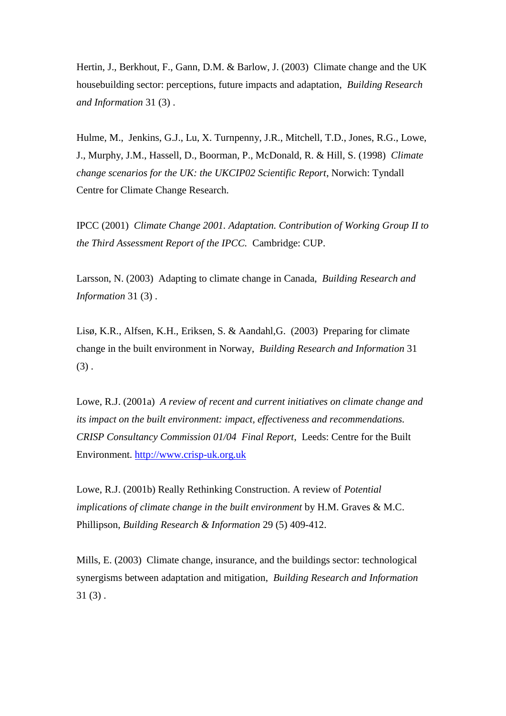Hertin, J., Berkhout, F., Gann, D.M. & Barlow, J. (2003) Climate change and the UK housebuilding sector: perceptions, future impacts and adaptation, *Building Research and Information* 31 (3) .

Hulme, M., Jenkins, G.J., Lu, X. Turnpenny, J.R., Mitchell, T.D., Jones, R.G., Lowe, J., Murphy, J.M., Hassell, D., Boorman, P., McDonald, R. & Hill, S. (1998) *Climate change scenarios for the UK: the UKCIP02 Scientific Report*, Norwich: Tyndall Centre for Climate Change Research.

IPCC (2001) *Climate Change 2001. Adaptation. Contribution of Working Group II to the Third Assessment Report of the IPCC.* Cambridge: CUP.

Larsson, N. (2003) Adapting to climate change in Canada, *Building Research and Information* 31 (3) .

Lisø, K.R., Alfsen, K.H., Eriksen, S. & Aandahl,G. (2003) Preparing for climate change in the built environment in Norway, *Building Research and Information* 31  $(3)$ .

Lowe, R.J. (2001a) *A review of recent and current initiatives on climate change and its impact on the built environment: impact, effectiveness and recommendations. CRISP Consultancy Commission 01/04 Final Report*, Leeds: Centre for the Built Environment. [http://www.crisp-uk.org.uk](http://www.crisp-uk.org.uk/)

Lowe, R.J. (2001b) Really Rethinking Construction. A review of *Potential implications of climate change in the built environment* by H.M. Graves & M.C. Phillipson, *Building Research & Information* 29 (5) 409-412.

Mills, E. (2003) Climate change, insurance, and the buildings sector: technological synergisms between adaptation and mitigation, *Building Research and Information*  $31(3)$ .